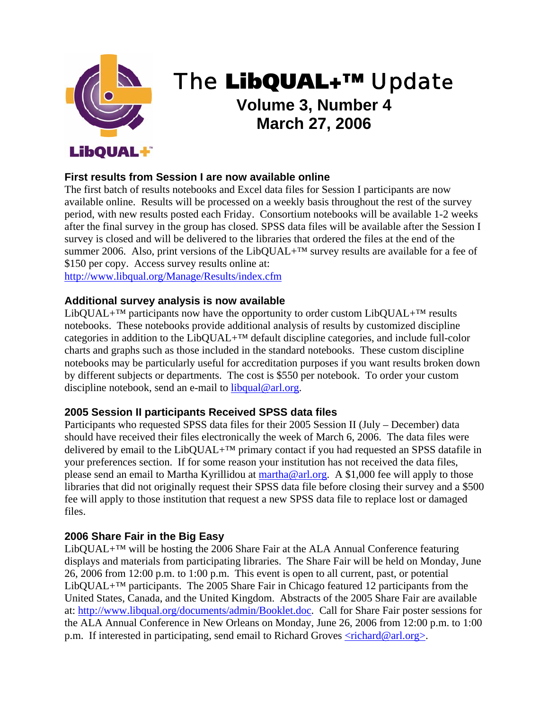

# The LibQUAL+™ Update **Volume 3, Number 4 March 27, 2006**

## **First results from Session I are now available online**

The first batch of results notebooks and Excel data files for Session I participants are now available online. Results will be processed on a weekly basis throughout the rest of the survey period, with new results posted each Friday. Consortium notebooks will be available 1-2 weeks after the final survey in the group has closed. SPSS data files will be available after the Session I survey is closed and will be delivered to the libraries that ordered the files at the end of the summer 2006. Also, print versions of the LibQUAL+<sup>™</sup> survey results are available for a fee of \$150 per copy. Access survey results online at:

http://www.libqual.org/Manage/Results/index.cfm

#### **Additional survey analysis is now available**

LibQUAL+<sup>TM</sup> participants now have the opportunity to order custom LibQUAL+<sup>TM</sup> results notebooks. These notebooks provide additional analysis of results by customized discipline categories in addition to the LibQUAL+™ default discipline categories, and include full-color charts and graphs such as those included in the standard notebooks. These custom discipline notebooks may be particularly useful for accreditation purposes if you want results broken down by different subjects or departments. The cost is \$550 per notebook. To order your custom discipline notebook, send an e-mail to libqual@arl.org.

#### **2005 Session II participants Received SPSS data files**

Participants who requested SPSS data files for their 2005 Session II (July – December) data should have received their files electronically the week of March 6, 2006. The data files were delivered by email to the LibQUAL+<sup>™</sup> primary contact if you had requested an SPSS datafile in your preferences section. If for some reason your institution has not received the data files, please send an email to Martha Kyrillidou at martha@arl.org. A \$1,000 fee will apply to those libraries that did not originally request their SPSS data file before closing their survey and a \$500 fee will apply to those institution that request a new SPSS data file to replace lost or damaged files.

#### **2006 Share Fair in the Big Easy**

LibQUAL+ $TM$  will be hosting the 2006 Share Fair at the ALA Annual Conference featuring displays and materials from participating libraries. The Share Fair will be held on Monday, June 26, 2006 from 12:00 p.m. to 1:00 p.m. This event is open to all current, past, or potential LibQUAL+ $TM$  participants. The 2005 Share Fair in Chicago featured 12 participants from the United States, Canada, and the United Kingdom. Abstracts of the 2005 Share Fair are available at: http://www.libqual.org/documents/admin/Booklet.doc. Call for Share Fair poster sessions for the ALA Annual Conference in New Orleans on Monday, June 26, 2006 from 12:00 p.m. to 1:00 p.m. If interested in participating, send email to Richard Groves  $\langle$ richard@arl.org $\rangle$ .